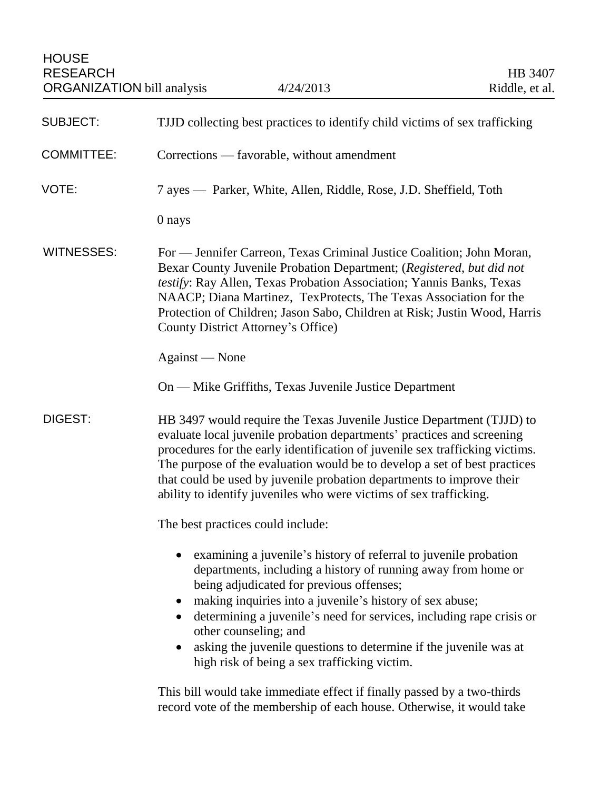| <b>SUBJECT:</b>   | TJJD collecting best practices to identify child victims of sex trafficking                                                                                                                                                                                                                                                                                                                                                                                                                              |
|-------------------|----------------------------------------------------------------------------------------------------------------------------------------------------------------------------------------------------------------------------------------------------------------------------------------------------------------------------------------------------------------------------------------------------------------------------------------------------------------------------------------------------------|
| <b>COMMITTEE:</b> | Corrections — favorable, without amendment                                                                                                                                                                                                                                                                                                                                                                                                                                                               |
| VOTE:             | 7 ayes — Parker, White, Allen, Riddle, Rose, J.D. Sheffield, Toth                                                                                                                                                                                                                                                                                                                                                                                                                                        |
|                   | 0 nays                                                                                                                                                                                                                                                                                                                                                                                                                                                                                                   |
| <b>WITNESSES:</b> | For — Jennifer Carreon, Texas Criminal Justice Coalition; John Moran,<br>Bexar County Juvenile Probation Department; (Registered, but did not<br>testify: Ray Allen, Texas Probation Association; Yannis Banks, Texas<br>NAACP; Diana Martinez, TexProtects, The Texas Association for the<br>Protection of Children; Jason Sabo, Children at Risk; Justin Wood, Harris<br>County District Attorney's Office)                                                                                            |
|                   | Against — None                                                                                                                                                                                                                                                                                                                                                                                                                                                                                           |
|                   | On — Mike Griffiths, Texas Juvenile Justice Department                                                                                                                                                                                                                                                                                                                                                                                                                                                   |
| DIGEST:           | HB 3497 would require the Texas Juvenile Justice Department (TJJD) to<br>evaluate local juvenile probation departments' practices and screening<br>procedures for the early identification of juvenile sex trafficking victims.<br>The purpose of the evaluation would be to develop a set of best practices<br>that could be used by juvenile probation departments to improve their<br>ability to identify juveniles who were victims of sex trafficking.                                              |
|                   | The best practices could include:                                                                                                                                                                                                                                                                                                                                                                                                                                                                        |
|                   | • examining a juvenile's history of referral to juvenile probation<br>departments, including a history of running away from home or<br>being adjudicated for previous offenses;<br>making inquiries into a juvenile's history of sex abuse;<br>$\bullet$<br>determining a juvenile's need for services, including rape crisis or<br>$\bullet$<br>other counseling; and<br>asking the juvenile questions to determine if the juvenile was at<br>$\bullet$<br>high risk of being a sex trafficking victim. |
|                   | This bill would take immediate effect if finally passed by a two-thirds                                                                                                                                                                                                                                                                                                                                                                                                                                  |

This bill would take immediate effect if finally passed by a two-thirds record vote of the membership of each house. Otherwise, it would take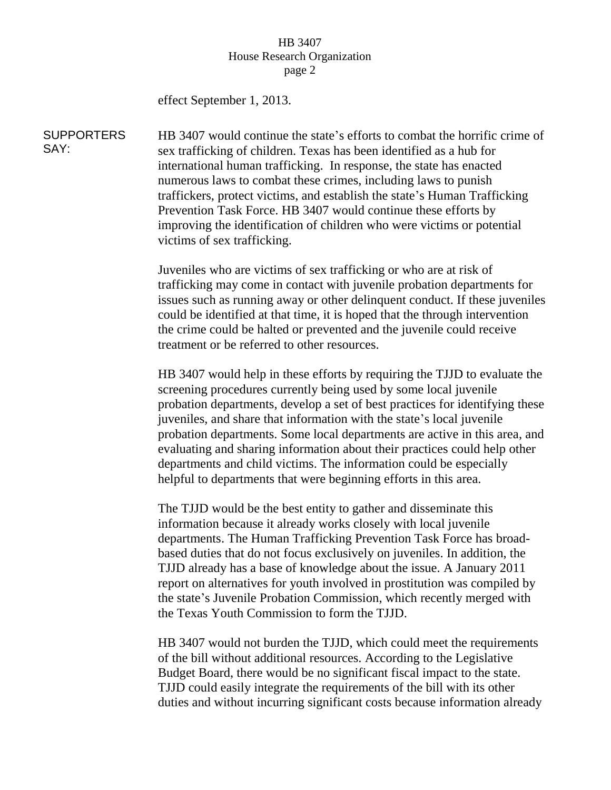## HB 3407 House Research Organization page 2

effect September 1, 2013.

**SUPPORTERS** SAY: HB 3407 would continue the state's efforts to combat the horrific crime of sex trafficking of children. Texas has been identified as a hub for international human trafficking. In response, the state has enacted numerous laws to combat these crimes, including laws to punish traffickers, protect victims, and establish the state's Human Trafficking Prevention Task Force. HB 3407 would continue these efforts by improving the identification of children who were victims or potential victims of sex trafficking.

> Juveniles who are victims of sex trafficking or who are at risk of trafficking may come in contact with juvenile probation departments for issues such as running away or other delinquent conduct. If these juveniles could be identified at that time, it is hoped that the through intervention the crime could be halted or prevented and the juvenile could receive treatment or be referred to other resources.

> HB 3407 would help in these efforts by requiring the TJJD to evaluate the screening procedures currently being used by some local juvenile probation departments, develop a set of best practices for identifying these juveniles, and share that information with the state's local juvenile probation departments. Some local departments are active in this area, and evaluating and sharing information about their practices could help other departments and child victims. The information could be especially helpful to departments that were beginning efforts in this area.

The TJJD would be the best entity to gather and disseminate this information because it already works closely with local juvenile departments. The Human Trafficking Prevention Task Force has broadbased duties that do not focus exclusively on juveniles. In addition, the TJJD already has a base of knowledge about the issue. A January 2011 report on alternatives for youth involved in prostitution was compiled by the state's Juvenile Probation Commission, which recently merged with the Texas Youth Commission to form the TJJD.

HB 3407 would not burden the TJJD, which could meet the requirements of the bill without additional resources. According to the Legislative Budget Board, there would be no significant fiscal impact to the state. TJJD could easily integrate the requirements of the bill with its other duties and without incurring significant costs because information already